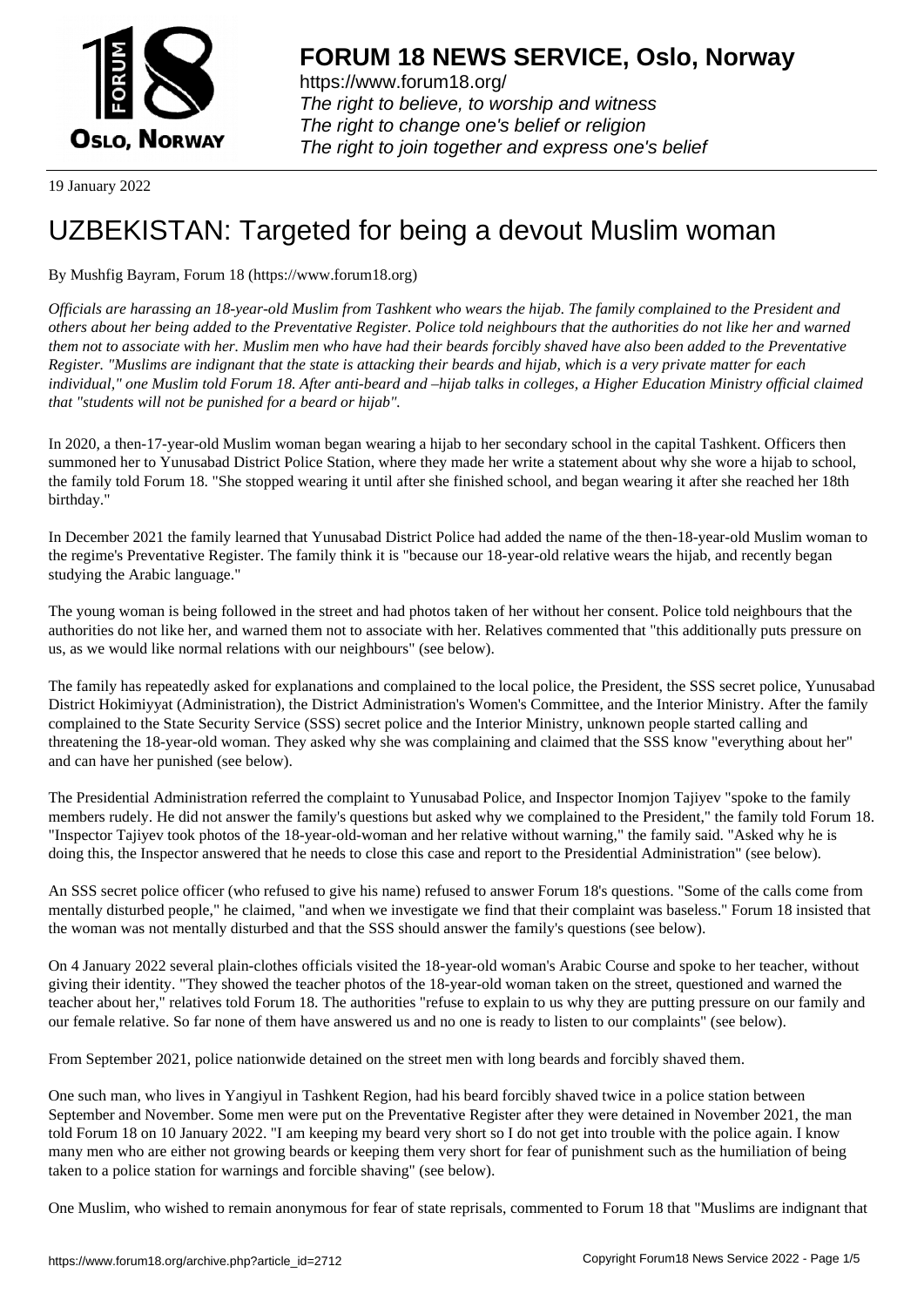

https://www.forum18.org/ The right to believe, to worship and witness The right to change one's belief or religion [The right to join together a](https://www.forum18.org/)nd express one's belief

19 January 2022

# [UZBEKISTAN:](https://www.forum18.org) Targeted for being a devout Muslim woman

# By Mushfig Bayram, Forum 18 (https://www.forum18.org)

*Officials are harassing an 18-year-old Muslim from Tashkent who wears the hijab. The family complained to the President and others about her being added to the Preventative Register. Police told neighbours that the authorities do not like her and warned them not to associate with her. Muslim men who have had their beards forcibly shaved have also been added to the Preventative Register. "Muslims are indignant that the state is attacking their beards and hijab, which is a very private matter for each individual," one Muslim told Forum 18. After anti-beard and –hijab talks in colleges, a Higher Education Ministry official claimed that "students will not be punished for a beard or hijab".*

In 2020, a then-17-year-old Muslim woman began wearing a hijab to her secondary school in the capital Tashkent. Officers then summoned her to Yunusabad District Police Station, where they made her write a statement about why she wore a hijab to school, the family told Forum 18. "She stopped wearing it until after she finished school, and began wearing it after she reached her 18th birthday."

In December 2021 the family learned that Yunusabad District Police had added the name of the then-18-year-old Muslim woman to the regime's Preventative Register. The family think it is "because our 18-year-old relative wears the hijab, and recently began studying the Arabic language."

The young woman is being followed in the street and had photos taken of her without her consent. Police told neighbours that the authorities do not like her, and warned them not to associate with her. Relatives commented that "this additionally puts pressure on us, as we would like normal relations with our neighbours" (see below).

The family has repeatedly asked for explanations and complained to the local police, the President, the SSS secret police, Yunusabad District Hokimiyyat (Administration), the District Administration's Women's Committee, and the Interior Ministry. After the family complained to the State Security Service (SSS) secret police and the Interior Ministry, unknown people started calling and threatening the 18-year-old woman. They asked why she was complaining and claimed that the SSS know "everything about her" and can have her punished (see below).

The Presidential Administration referred the complaint to Yunusabad Police, and Inspector Inomjon Tajiyev "spoke to the family members rudely. He did not answer the family's questions but asked why we complained to the President," the family told Forum 18. "Inspector Tajiyev took photos of the 18-year-old-woman and her relative without warning," the family said. "Asked why he is doing this, the Inspector answered that he needs to close this case and report to the Presidential Administration" (see below).

An SSS secret police officer (who refused to give his name) refused to answer Forum 18's questions. "Some of the calls come from mentally disturbed people," he claimed, "and when we investigate we find that their complaint was baseless." Forum 18 insisted that the woman was not mentally disturbed and that the SSS should answer the family's questions (see below).

On 4 January 2022 several plain-clothes officials visited the 18-year-old woman's Arabic Course and spoke to her teacher, without giving their identity. "They showed the teacher photos of the 18-year-old woman taken on the street, questioned and warned the teacher about her," relatives told Forum 18. The authorities "refuse to explain to us why they are putting pressure on our family and our female relative. So far none of them have answered us and no one is ready to listen to our complaints" (see below).

From September 2021, police nationwide detained on the street men with long beards and forcibly shaved them.

One such man, who lives in Yangiyul in Tashkent Region, had his beard forcibly shaved twice in a police station between September and November. Some men were put on the Preventative Register after they were detained in November 2021, the man told Forum 18 on 10 January 2022. "I am keeping my beard very short so I do not get into trouble with the police again. I know many men who are either not growing beards or keeping them very short for fear of punishment such as the humiliation of being taken to a police station for warnings and forcible shaving" (see below).

One Muslim, who wished to remain anonymous for fear of state reprisals, commented to Forum 18 that "Muslims are indignant that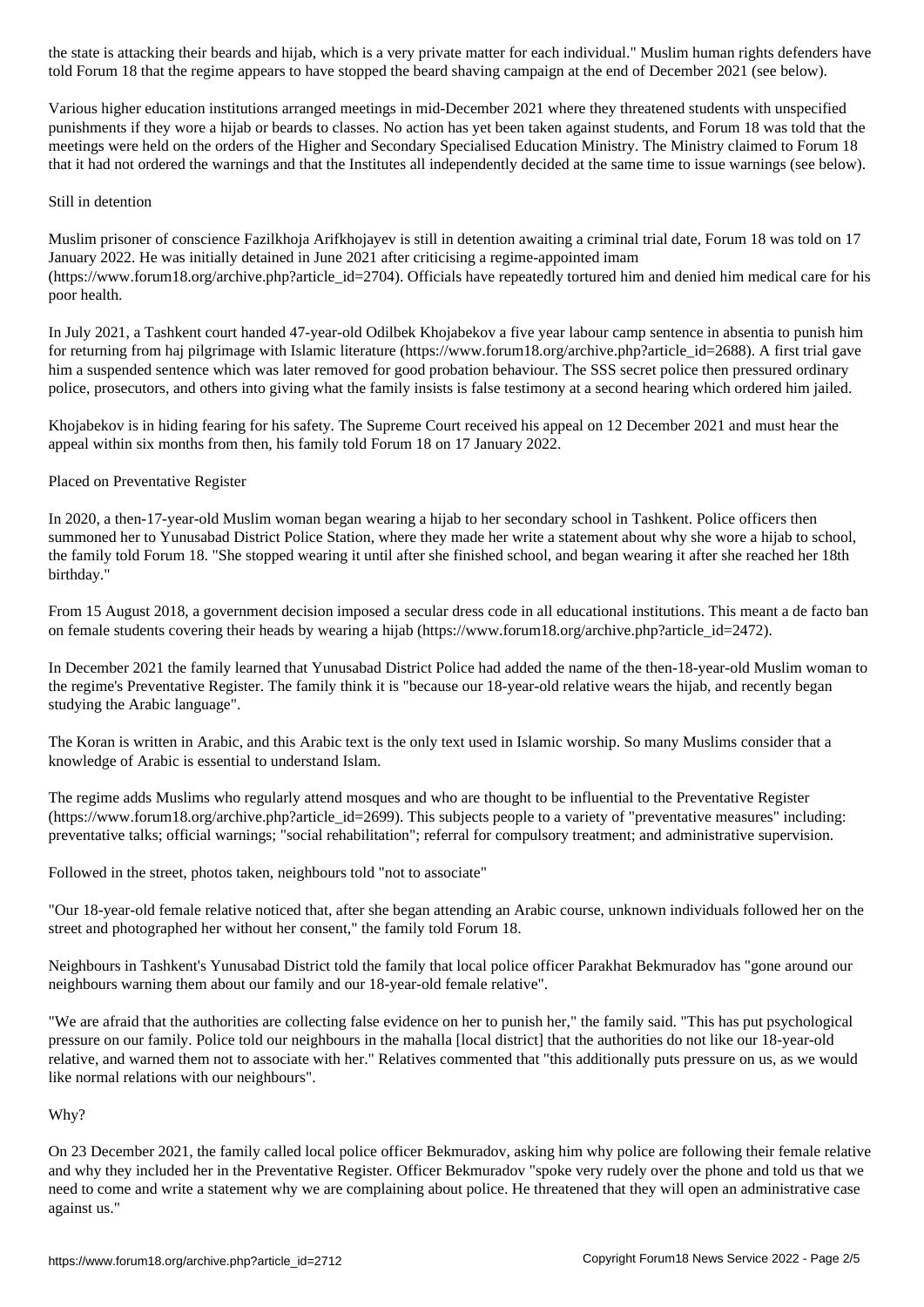told Forum 18 that the regime appears to have stopped the beard shaving campaign at the end of December 2021 (see below).

Various higher education institutions arranged meetings in mid-December 2021 where they threatened students with unspecified punishments if they wore a hijab or beards to classes. No action has yet been taken against students, and Forum 18 was told that the meetings were held on the orders of the Higher and Secondary Specialised Education Ministry. The Ministry claimed to Forum 18 that it had not ordered the warnings and that the Institutes all independently decided at the same time to issue warnings (see below).

## Still in detention

Muslim prisoner of conscience Fazilkhoja Arifkhojayev is still in detention awaiting a criminal trial date, Forum 18 was told on 17 January 2022. He was initially detained in June 2021 after criticising a regime-appointed imam (https://www.forum18.org/archive.php?article\_id=2704). Officials have repeatedly tortured him and denied him medical care for his poor health.

In July 2021, a Tashkent court handed 47-year-old Odilbek Khojabekov a five year labour camp sentence in absentia to punish him for returning from haj pilgrimage with Islamic literature (https://www.forum18.org/archive.php?article\_id=2688). A first trial gave him a suspended sentence which was later removed for good probation behaviour. The SSS secret police then pressured ordinary police, prosecutors, and others into giving what the family insists is false testimony at a second hearing which ordered him jailed.

Khojabekov is in hiding fearing for his safety. The Supreme Court received his appeal on 12 December 2021 and must hear the appeal within six months from then, his family told Forum 18 on 17 January 2022.

### Placed on Preventative Register

In 2020, a then-17-year-old Muslim woman began wearing a hijab to her secondary school in Tashkent. Police officers then summoned her to Yunusabad District Police Station, where they made her write a statement about why she wore a hijab to school, the family told Forum 18. "She stopped wearing it until after she finished school, and began wearing it after she reached her 18th birthday."

From 15 August 2018, a government decision imposed a secular dress code in all educational institutions. This meant a de facto ban on female students covering their heads by wearing a hijab (https://www.forum18.org/archive.php?article\_id=2472).

In December 2021 the family learned that Yunusabad District Police had added the name of the then-18-year-old Muslim woman to the regime's Preventative Register. The family think it is "because our 18-year-old relative wears the hijab, and recently began studying the Arabic language".

The Koran is written in Arabic, and this Arabic text is the only text used in Islamic worship. So many Muslims consider that a knowledge of Arabic is essential to understand Islam.

The regime adds Muslims who regularly attend mosques and who are thought to be influential to the Preventative Register (https://www.forum18.org/archive.php?article\_id=2699). This subjects people to a variety of "preventative measures" including: preventative talks; official warnings; "social rehabilitation"; referral for compulsory treatment; and administrative supervision.

Followed in the street, photos taken, neighbours told "not to associate"

"Our 18-year-old female relative noticed that, after she began attending an Arabic course, unknown individuals followed her on the street and photographed her without her consent," the family told Forum 18.

Neighbours in Tashkent's Yunusabad District told the family that local police officer Parakhat Bekmuradov has "gone around our neighbours warning them about our family and our 18-year-old female relative".

"We are afraid that the authorities are collecting false evidence on her to punish her," the family said. "This has put psychological pressure on our family. Police told our neighbours in the mahalla [local district] that the authorities do not like our 18-year-old relative, and warned them not to associate with her." Relatives commented that "this additionally puts pressure on us, as we would like normal relations with our neighbours".

#### Why?

On 23 December 2021, the family called local police officer Bekmuradov, asking him why police are following their female relative and why they included her in the Preventative Register. Officer Bekmuradov "spoke very rudely over the phone and told us that we need to come and write a statement why we are complaining about police. He threatened that they will open an administrative case against us."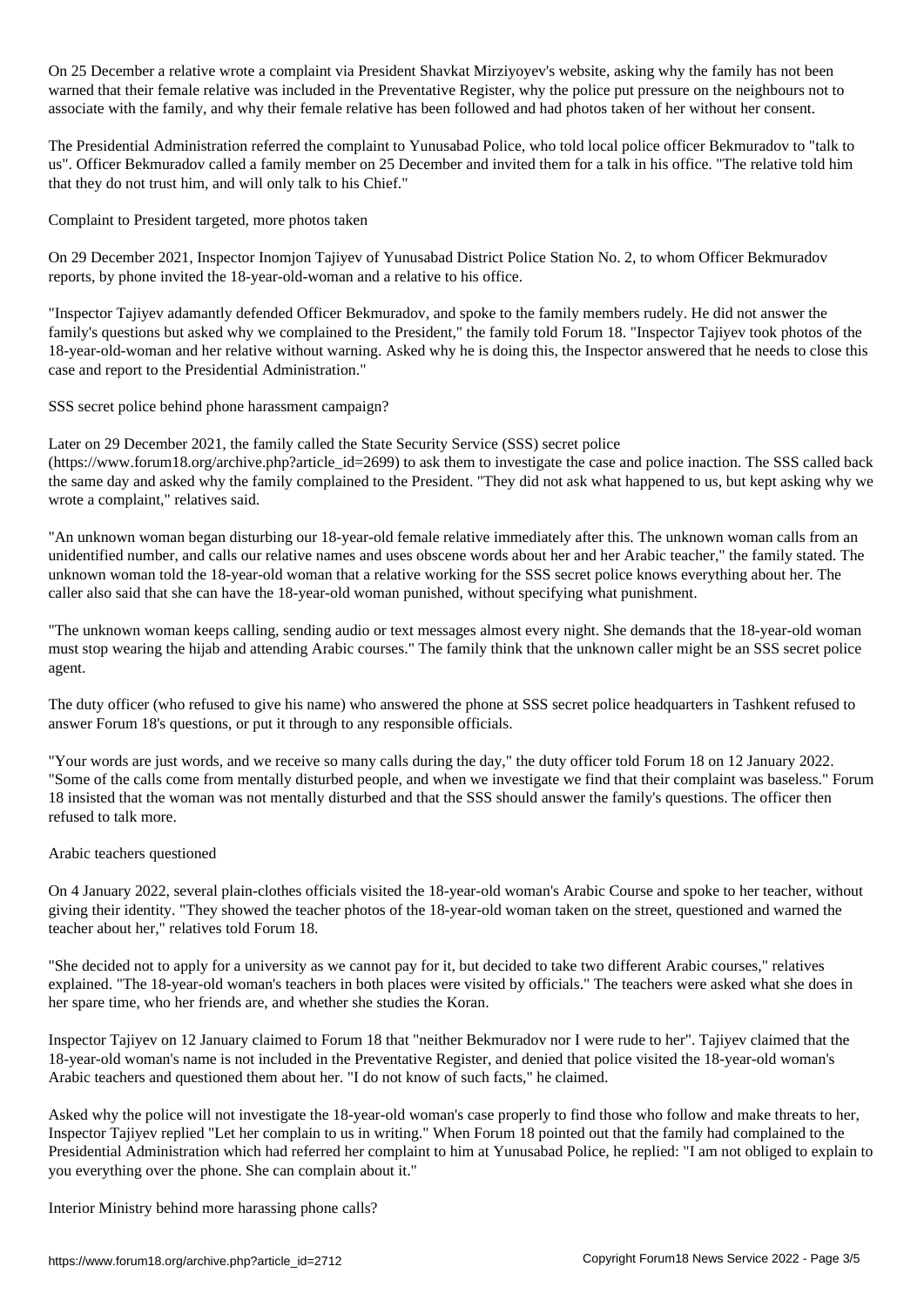On 25 December a relative wrote a complaint via President Shavkat Mirziyoyev's website, asking why the family has not been warned that their female relative was included in the Preventative Register, why the police put pressure on the neighbours not to associate with the family, and why their female relative has been followed and had photos taken of her without her consent.

The Presidential Administration referred the complaint to Yunusabad Police, who told local police officer Bekmuradov to "talk to us". Officer Bekmuradov called a family member on 25 December and invited them for a talk in his office. "The relative told him that they do not trust him, and will only talk to his Chief."

Complaint to President targeted, more photos taken

On 29 December 2021, Inspector Inomjon Tajiyev of Yunusabad District Police Station No. 2, to whom Officer Bekmuradov reports, by phone invited the 18-year-old-woman and a relative to his office.

"Inspector Tajiyev adamantly defended Officer Bekmuradov, and spoke to the family members rudely. He did not answer the family's questions but asked why we complained to the President," the family told Forum 18. "Inspector Tajiyev took photos of the 18-year-old-woman and her relative without warning. Asked why he is doing this, the Inspector answered that he needs to close this case and report to the Presidential Administration."

SSS secret police behind phone harassment campaign?

Later on 29 December 2021, the family called the State Security Service (SSS) secret police (https://www.forum18.org/archive.php?article\_id=2699) to ask them to investigate the case and police inaction. The SSS called back the same day and asked why the family complained to the President. "They did not ask what happened to us, but kept asking why we wrote a complaint," relatives said.

"An unknown woman began disturbing our 18-year-old female relative immediately after this. The unknown woman calls from an unidentified number, and calls our relative names and uses obscene words about her and her Arabic teacher," the family stated. The unknown woman told the 18-year-old woman that a relative working for the SSS secret police knows everything about her. The caller also said that she can have the 18-year-old woman punished, without specifying what punishment.

"The unknown woman keeps calling, sending audio or text messages almost every night. She demands that the 18-year-old woman must stop wearing the hijab and attending Arabic courses." The family think that the unknown caller might be an SSS secret police agent.

The duty officer (who refused to give his name) who answered the phone at SSS secret police headquarters in Tashkent refused to answer Forum 18's questions, or put it through to any responsible officials.

"Your words are just words, and we receive so many calls during the day," the duty officer told Forum 18 on 12 January 2022. "Some of the calls come from mentally disturbed people, and when we investigate we find that their complaint was baseless." Forum 18 insisted that the woman was not mentally disturbed and that the SSS should answer the family's questions. The officer then refused to talk more.

#### Arabic teachers questioned

On 4 January 2022, several plain-clothes officials visited the 18-year-old woman's Arabic Course and spoke to her teacher, without giving their identity. "They showed the teacher photos of the 18-year-old woman taken on the street, questioned and warned the teacher about her," relatives told Forum 18.

"She decided not to apply for a university as we cannot pay for it, but decided to take two different Arabic courses," relatives explained. "The 18-year-old woman's teachers in both places were visited by officials." The teachers were asked what she does in her spare time, who her friends are, and whether she studies the Koran.

Inspector Tajiyev on 12 January claimed to Forum 18 that "neither Bekmuradov nor I were rude to her". Tajiyev claimed that the 18-year-old woman's name is not included in the Preventative Register, and denied that police visited the 18-year-old woman's Arabic teachers and questioned them about her. "I do not know of such facts," he claimed.

Asked why the police will not investigate the 18-year-old woman's case properly to find those who follow and make threats to her, Inspector Tajiyev replied "Let her complain to us in writing." When Forum 18 pointed out that the family had complained to the Presidential Administration which had referred her complaint to him at Yunusabad Police, he replied: "I am not obliged to explain to you everything over the phone. She can complain about it."

Interior Ministry behind more harassing phone calls?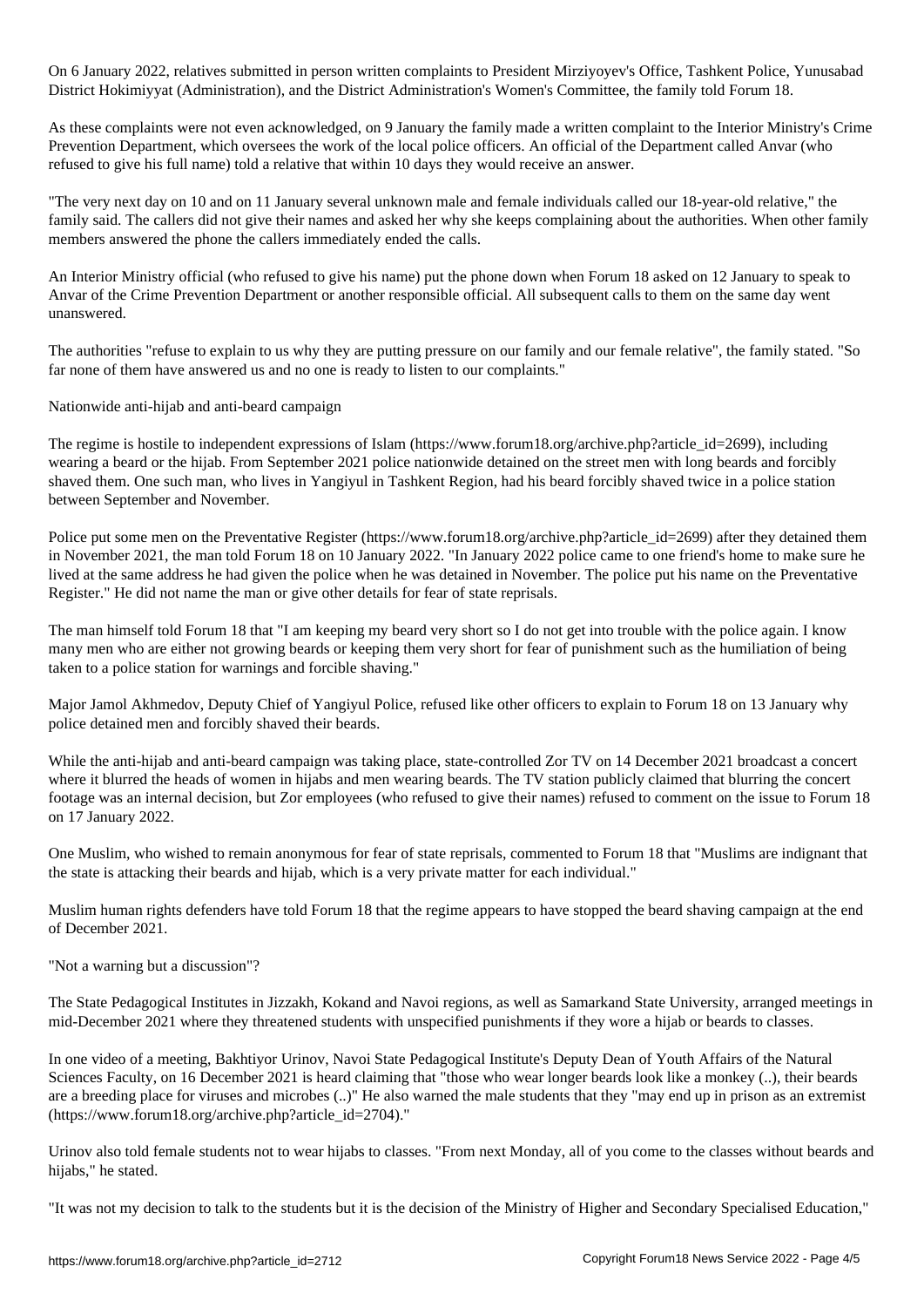On 6 January 2022, relatives submitted in person written complaints to President Mirziyoyev's Office, Tashkent Police, Yunusabad District Hokimiyyat (Administration), and the District Administration's Women's Committee, the family told Forum 18.

As these complaints were not even acknowledged, on 9 January the family made a written complaint to the Interior Ministry's Crime Prevention Department, which oversees the work of the local police officers. An official of the Department called Anvar (who refused to give his full name) told a relative that within 10 days they would receive an answer.

"The very next day on 10 and on 11 January several unknown male and female individuals called our 18-year-old relative," the family said. The callers did not give their names and asked her why she keeps complaining about the authorities. When other family members answered the phone the callers immediately ended the calls.

An Interior Ministry official (who refused to give his name) put the phone down when Forum 18 asked on 12 January to speak to Anvar of the Crime Prevention Department or another responsible official. All subsequent calls to them on the same day went unanswered.

The authorities "refuse to explain to us why they are putting pressure on our family and our female relative", the family stated. "So far none of them have answered us and no one is ready to listen to our complaints."

Nationwide anti-hijab and anti-beard campaign

The regime is hostile to independent expressions of Islam (https://www.forum18.org/archive.php?article\_id=2699), including wearing a beard or the hijab. From September 2021 police nationwide detained on the street men with long beards and forcibly shaved them. One such man, who lives in Yangiyul in Tashkent Region, had his beard forcibly shaved twice in a police station between September and November.

Police put some men on the Preventative Register (https://www.forum18.org/archive.php?article\_id=2699) after they detained them in November 2021, the man told Forum 18 on 10 January 2022. "In January 2022 police came to one friend's home to make sure he lived at the same address he had given the police when he was detained in November. The police put his name on the Preventative Register." He did not name the man or give other details for fear of state reprisals.

The man himself told Forum 18 that "I am keeping my beard very short so I do not get into trouble with the police again. I know many men who are either not growing beards or keeping them very short for fear of punishment such as the humiliation of being taken to a police station for warnings and forcible shaving."

Major Jamol Akhmedov, Deputy Chief of Yangiyul Police, refused like other officers to explain to Forum 18 on 13 January why police detained men and forcibly shaved their beards.

While the anti-hijab and anti-beard campaign was taking place, state-controlled Zor TV on 14 December 2021 broadcast a concert where it blurred the heads of women in hijabs and men wearing beards. The TV station publicly claimed that blurring the concert footage was an internal decision, but Zor employees (who refused to give their names) refused to comment on the issue to Forum 18 on 17 January 2022.

One Muslim, who wished to remain anonymous for fear of state reprisals, commented to Forum 18 that "Muslims are indignant that the state is attacking their beards and hijab, which is a very private matter for each individual."

Muslim human rights defenders have told Forum 18 that the regime appears to have stopped the beard shaving campaign at the end of December 2021.

"Not a warning but a discussion"?

The State Pedagogical Institutes in Jizzakh, Kokand and Navoi regions, as well as Samarkand State University, arranged meetings in mid-December 2021 where they threatened students with unspecified punishments if they wore a hijab or beards to classes.

In one video of a meeting, Bakhtiyor Urinov, Navoi State Pedagogical Institute's Deputy Dean of Youth Affairs of the Natural Sciences Faculty, on 16 December 2021 is heard claiming that "those who wear longer beards look like a monkey (..), their beards are a breeding place for viruses and microbes (..)" He also warned the male students that they "may end up in prison as an extremist (https://www.forum18.org/archive.php?article\_id=2704)."

Urinov also told female students not to wear hijabs to classes. "From next Monday, all of you come to the classes without beards and hijabs," he stated.

"It was not my decision to talk to the students but it is the decision of the Ministry of Higher and Secondary Specialised Education,"